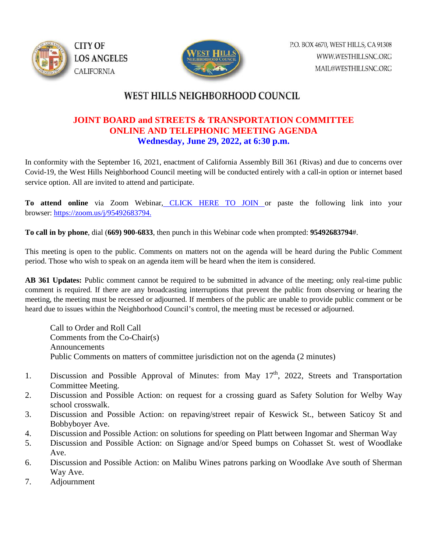



## WEST HILLS NEIGHBORHOOD COUNCIL

## **JOINT BOARD and STREETS & TRANSPORTATION COMMITTEE ONLINE AND TELEPHONIC MEETING AGENDA Wednesday, June 29, 2022, at 6:30 p.m.**

In conformity with the September 16, 2021, enactment of California Assembly Bill 361 (Rivas) and due to concerns over Covid-19, the West Hills Neighborhood Council meeting will be conducted entirely with a call-in option or internet based service option. All are invited to attend and participate.

**To attend online** via Zoom Webinar, [CLICK HERE TO JOIN o](https://zoom.us/j/95492683794)r paste the following link into your browser: [https://zoom.us/j/95492683794.](https://zoom.us/j/95492683794)

**To call in by phone**, dial (**669) 900-6833**, then punch in this Webinar code when prompted: **95492683794**#.

This meeting is open to the public. Comments on matters not on the agenda will be heard during the Public Comment period. Those who wish to speak on an agenda item will be heard when the item is considered.

**AB 361 Updates:** Public comment cannot be required to be submitted in advance of the meeting; only real-time public comment is required. If there are any broadcasting interruptions that prevent the public from observing or hearing the meeting, the meeting must be recessed or adjourned. If members of the public are unable to provide public comment or be heard due to issues within the Neighborhood Council's control, the meeting must be recessed or adjourned.

Call to Order and Roll Call Comments from the Co-Chair(s) Announcements Public Comments on matters of committee jurisdiction not on the agenda (2 minutes)

- 1. Discussion and Possible Approval of Minutes: from May 17<sup>th</sup>, 2022, Streets and Transportation Committee Meeting.
- 2. Discussion and Possible Action: on request for a crossing guard as Safety Solution for Welby Way school crosswalk.
- 3. Discussion and Possible Action: on repaving/street repair of Keswick St., between Saticoy St and Bobbyboyer Ave.
- 4. Discussion and Possible Action: on solutions for speeding on Platt between Ingomar and Sherman Way
- 5. Discussion and Possible Action: on Signage and/or Speed bumps on Cohasset St. west of Woodlake Ave.
- 6. Discussion and Possible Action: on Malibu Wines patrons parking on Woodlake Ave south of Sherman Way Ave.
- 7. Adjournment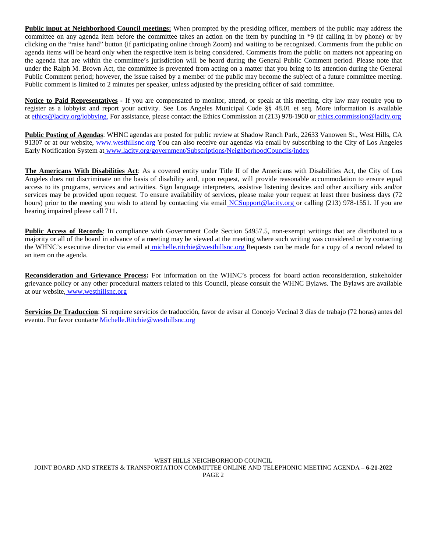**Public input at Neighborhood Council meetings:** When prompted by the presiding officer, members of the public may address the committee on any agenda item before the committee takes an action on the item by punching in \*9 (if calling in by phone) or by clicking on the "raise hand" button (if participating online through Zoom) and waiting to be recognized. Comments from the public on agenda items will be heard only when the respective item is being considered. Comments from the public on matters not appearing on the agenda that are within the committee's jurisdiction will be heard during the General Public Comment period. Please note that under the Ralph M. Brown Act, the committee is prevented from acting on a matter that you bring to its attention during the General Public Comment period; however, the issue raised by a member of the public may become the subject of a future committee meeting. Public comment is limited to 2 minutes per speaker, unless adjusted by the presiding officer of said committee.

**Notice to Paid Representatives -** If you are compensated to monitor, attend, or speak at this meeting, city law may require you to register as a lobbyist and report your activity. See Los Angeles Municipal Code §§ 48.01 et seq. More information is available at [ethics@lacity.org/lobbying.](mailto:) For assistance, please contact the Ethics Commission at (213) 978-1960 or [ethics.commission@lacity.org](mailto:)

**Public Posting of Agendas**: WHNC agendas are posted for public review at Shadow Ranch Park, 22633 Vanowen St., West Hills, CA 91307 or at our website, [www.westhillsnc.org](http://www.westhillsnc.org/) You can also receive our agendas via email by subscribing to the City of Los Angeles Early Notification System at [www.lacity.org/government/Subscriptions/NeighborhoodCouncils/index](http://www.lacity.org/government/Subscriptions/NeighborhoodCouncils/index)

**The Americans With Disabilities Act**: As a covered entity under Title II of the Americans with Disabilities Act, the City of Los Angeles does not discriminate on the basis of disability and, upon request, will provide reasonable accommodation to ensure equal access to its programs, services and activities. Sign language interpreters, assistive listening devices and other auxiliary aids and/or services may be provided upon request. To ensure availability of services, please make your request at least three business days (72 hours) prior to the meeting you wish to attend by contacting via email [NCSupport@lacity.org o](mailto:NCSupport@lacity.org)r calling (213) 978-1551. If you are hearing impaired please call 711.

**Public Access of Records**: In compliance with Government Code Section 54957.5, non-exempt writings that are distributed to a majority or all of the board in advance of a meeting may be viewed at the meeting where such writing was considered or by contacting the WHNC's executive director via email at [michelle.ritchie@westhillsnc.org R](mailto:michelle.ritchie@westhillsnc.org)equests can be made for a copy of a record related to an item on the agenda.

**Reconsideration and Grievance Process:** For information on the WHNC's process for board action reconsideration, stakeholder grievance policy or any other procedural matters related to this Council, please consult the WHNC Bylaws. The Bylaws are available at our website, [www.westhillsnc.org](http://www.westhillsnc.org/)

**Servicios De Traduccion**: Si requiere servicios de traducción, favor de avisar al Concejo Vecinal 3 días de trabajo (72 horas) antes del evento. Por favor contacte [Michelle.Ritchie@westhillsnc.org](mailto:Michelle.Ritchie@westhillsnc.org)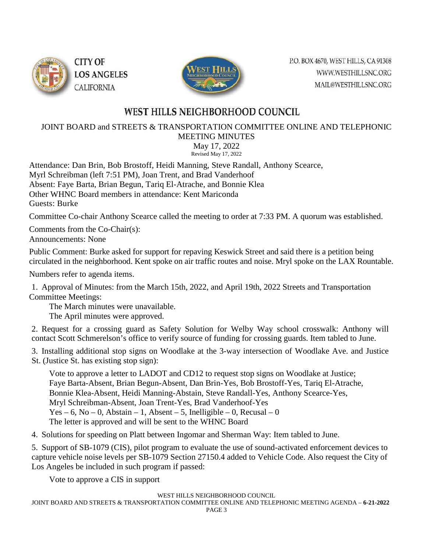



## WEST HILLS NEIGHBORHOOD COUNCIL

JOINT BOARD and STREETS & TRANSPORTATION COMMITTEE ONLINE AND TELEPHONIC

MEETING MINUTES May 17, 2022

Revised May 17, 2022

Attendance: Dan Brin, Bob Brostoff, Heidi Manning, Steve Randall, Anthony Scearce, Myrl Schreibman (left 7:51 PM), Joan Trent, and Brad Vanderhoof Absent: Faye Barta, Brian Begun, Tariq El-Atrache, and Bonnie Klea Other WHNC Board members in attendance: Kent Mariconda Guests: Burke

Committee Co-chair Anthony Scearce called the meeting to order at 7:33 PM. A quorum was established.

Comments from the Co-Chair(s): Announcements: None

Public Comment: Burke asked for support for repaving Keswick Street and said there is a petition being circulated in the neighborhood. Kent spoke on air traffic routes and noise. Mryl spoke on the LAX Rountable.

Numbers refer to agenda items.

1. Approval of Minutes: from the March 15th, 2022, and April 19th, 2022 Streets and Transportation Committee Meetings:

The March minutes were unavailable.

The April minutes were approved.

2. Request for a crossing guard as Safety Solution for Welby Way school crosswalk: Anthony will contact Scott Schmerelson's office to verify source of funding for crossing guards. Item tabled to June.

3. Installing additional stop signs on Woodlake at the 3-way intersection of Woodlake Ave. and Justice St. (Justice St. has existing stop sign):

Vote to approve a letter to LADOT and CD12 to request stop signs on Woodlake at Justice; Faye Barta-Absent, Brian Begun-Absent, Dan Brin-Yes, Bob Brostoff-Yes, Tariq El-Atrache, Bonnie Klea-Absent, Heidi Manning-Abstain, Steve Randall-Yes, Anthony Scearce-Yes, Mryl Schreibman-Absent, Joan Trent-Yes, Brad Vanderhoof-Yes Yes – 6, No – 0, Abstain – 1, Absent – 5, Inelligible – 0, Recusal – 0 The letter is approved and will be sent to the WHNC Board

4. Solutions for speeding on Platt between Ingomar and Sherman Way: Item tabled to June.

5. Support of SB-1079 (CIS), pilot program to evaluate the use of sound-activated enforcement devices to capture vehicle noise levels per SB-1079 Section 27150.4 added to Vehicle Code. Also request the City of Los Angeles be included in such program if passed:

Vote to approve a CIS in support

WEST HILLS NEIGHBORHOOD COUNCIL

JOINT BOARD AND STREETS & TRANSPORTATION COMMITTEE ONLINE AND TELEPHONIC MEETING AGENDA – **6-21-2022** PAGE 3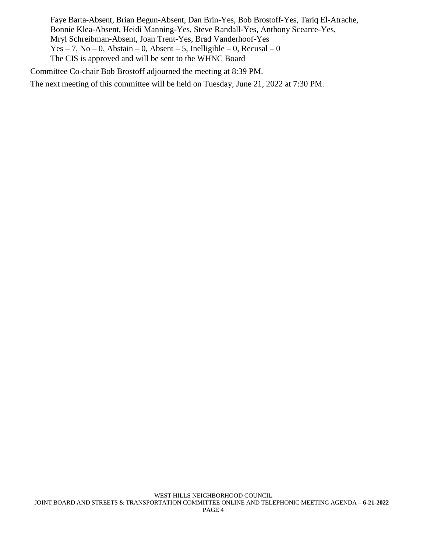Faye Barta-Absent, Brian Begun-Absent, Dan Brin-Yes, Bob Brostoff-Yes, Tariq El-Atrache, Bonnie Klea-Absent, Heidi Manning-Yes, Steve Randall-Yes, Anthony Scearce-Yes, Mryl Schreibman-Absent, Joan Trent-Yes, Brad Vanderhoof-Yes Yes – 7, No – 0, Abstain – 0, Absent – 5, Inelligible – 0, Recusal – 0 The CIS is approved and will be sent to the WHNC Board

Committee Co-chair Bob Brostoff adjourned the meeting at 8:39 PM.

The next meeting of this committee will be held on Tuesday, June 21, 2022 at 7:30 PM.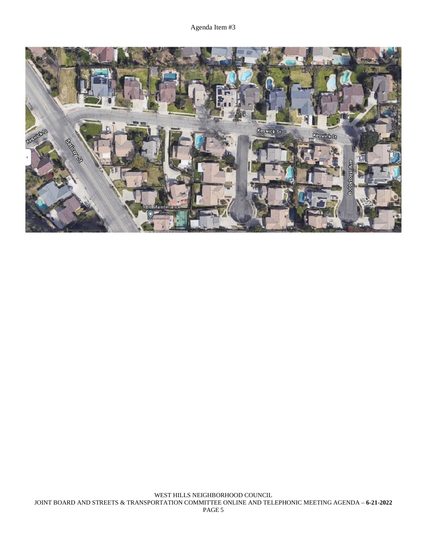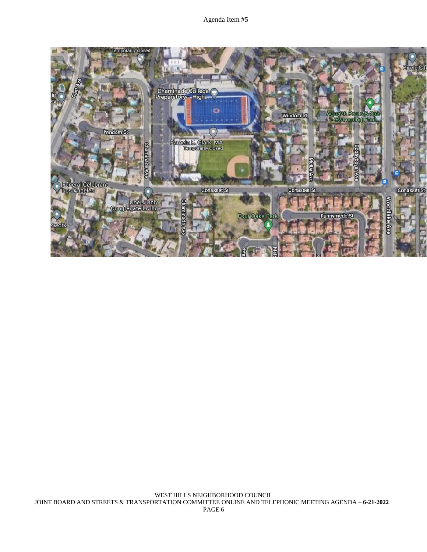